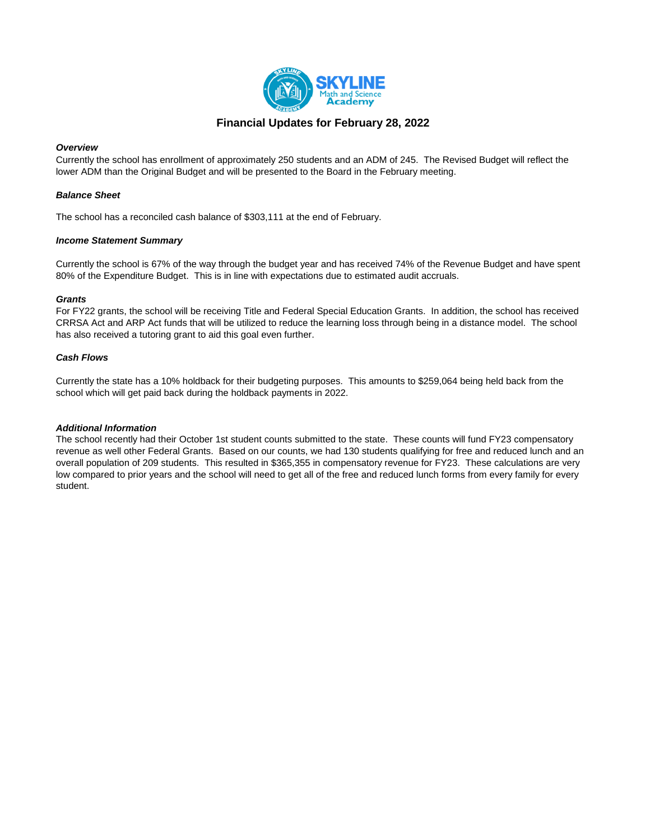

## **Financial Updates for February 28, 2022**

## *Overview*

Currently the school has enrollment of approximately 250 students and an ADM of 245. The Revised Budget will reflect the lower ADM than the Original Budget and will be presented to the Board in the February meeting.

## *Balance Sheet*

The school has a reconciled cash balance of \$303,111 at the end of February.

## *Income Statement Summary*

Currently the school is 67% of the way through the budget year and has received 74% of the Revenue Budget and have spent 80% of the Expenditure Budget. This is in line with expectations due to estimated audit accruals.

## *Grants*

For FY22 grants, the school will be receiving Title and Federal Special Education Grants. In addition, the school has received CRRSA Act and ARP Act funds that will be utilized to reduce the learning loss through being in a distance model. The school has also received a tutoring grant to aid this goal even further.

## *Cash Flows*

Currently the state has a 10% holdback for their budgeting purposes. This amounts to \$259,064 being held back from the school which will get paid back during the holdback payments in 2022.

## *Additional Information*

The school recently had their October 1st student counts submitted to the state. These counts will fund FY23 compensatory revenue as well other Federal Grants. Based on our counts, we had 130 students qualifying for free and reduced lunch and an overall population of 209 students. This resulted in \$365,355 in compensatory revenue for FY23. These calculations are very low compared to prior years and the school will need to get all of the free and reduced lunch forms from every family for every student.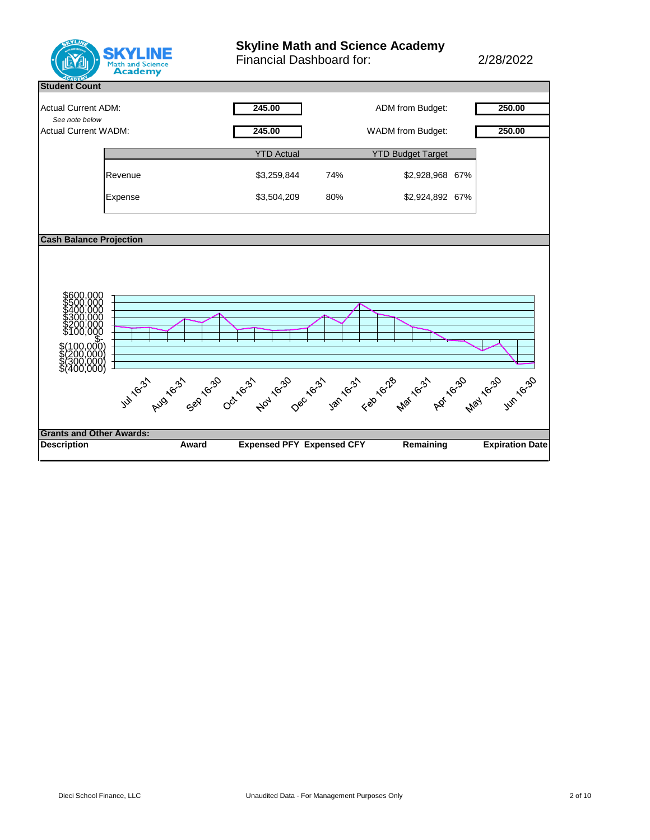

# **Skyline Math and Science Academy**

Financial Dashboard for: 2/28/2022

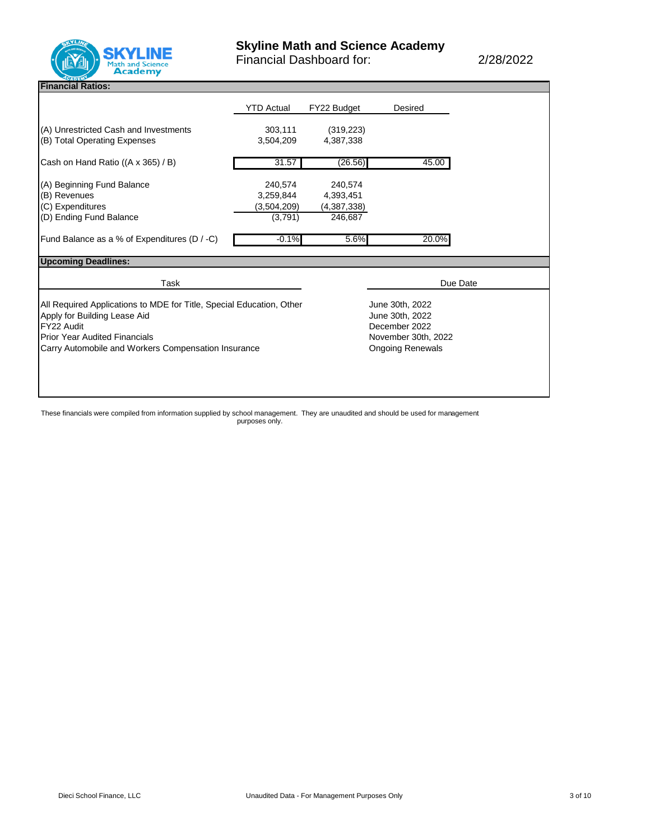

**Financial Ratios:** 

|                                                                                                                                                                                          | <b>YTD Actual</b>    | FY22 Budget             | Desired             |  |
|------------------------------------------------------------------------------------------------------------------------------------------------------------------------------------------|----------------------|-------------------------|---------------------|--|
| (A) Unrestricted Cash and Investments<br>(B) Total Operating Expenses                                                                                                                    | 303,111<br>3,504,209 | (319, 223)<br>4,387,338 |                     |  |
| Cash on Hand Ratio ((A x 365) / B)                                                                                                                                                       | 31.57                | (26.56)                 | 45.00               |  |
| (A) Beginning Fund Balance                                                                                                                                                               | 240,574              | 240,574                 |                     |  |
| (B) Revenues                                                                                                                                                                             | 3.259.844            | 4,393,451               |                     |  |
| (C) Expenditures                                                                                                                                                                         | (3,504,209)          | (4,387,338)             |                     |  |
| (D) Ending Fund Balance                                                                                                                                                                  | (3,791)              | 246,687                 |                     |  |
| Fund Balance as a % of Expenditures (D / -C)                                                                                                                                             | $-0.1%$              | 5.6%                    | 20.0%               |  |
|                                                                                                                                                                                          |                      |                         |                     |  |
|                                                                                                                                                                                          |                      |                         |                     |  |
| Task                                                                                                                                                                                     |                      |                         | Due Date            |  |
|                                                                                                                                                                                          |                      |                         | June 30th, 2022     |  |
|                                                                                                                                                                                          |                      |                         | June 30th, 2022     |  |
|                                                                                                                                                                                          |                      |                         | December 2022       |  |
| <b>Upcoming Deadlines:</b><br>All Required Applications to MDE for Title, Special Education, Other<br>Apply for Building Lease Aid<br>FY22 Audit<br><b>Prior Year Audited Financials</b> |                      |                         | November 30th, 2022 |  |

These financials were compiled from information supplied by school management. They are unaudited and should be used for management purposes only.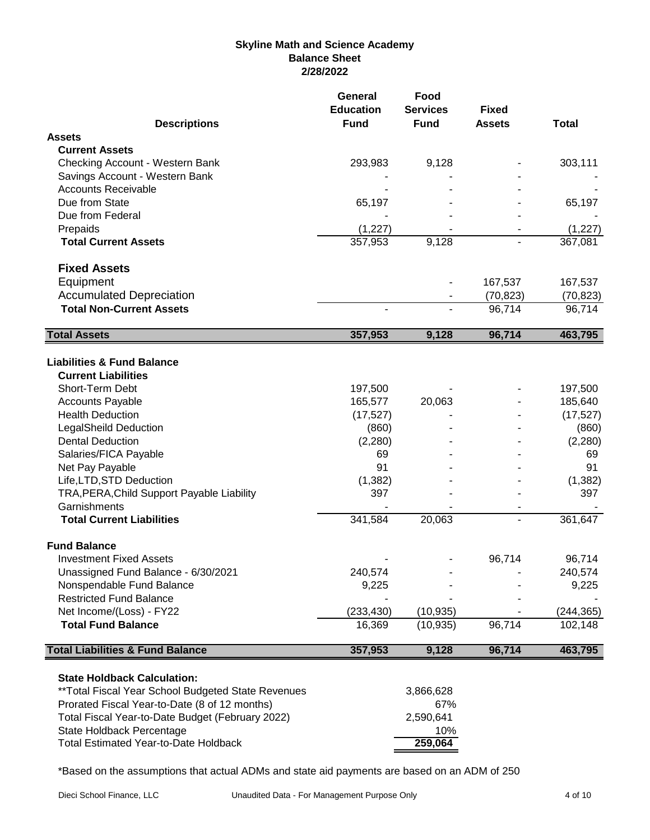# **Skyline Math and Science Academy Balance Sheet 2/28/2022**

|                                                              | General<br><b>Education</b> | Food<br><b>Services</b>  | <b>Fixed</b>  |              |
|--------------------------------------------------------------|-----------------------------|--------------------------|---------------|--------------|
| <b>Descriptions</b>                                          | <b>Fund</b>                 | <b>Fund</b>              | <b>Assets</b> | <b>Total</b> |
| <b>Assets</b>                                                |                             |                          |               |              |
| <b>Current Assets</b>                                        |                             |                          |               |              |
| Checking Account - Western Bank                              | 293,983                     | 9,128                    |               | 303,111      |
| Savings Account - Western Bank<br><b>Accounts Receivable</b> |                             |                          |               |              |
| Due from State                                               | 65,197                      |                          |               | 65,197       |
| Due from Federal                                             |                             |                          |               |              |
| Prepaids                                                     | (1, 227)                    |                          |               | (1, 227)     |
| <b>Total Current Assets</b>                                  | 357,953                     | 9,128                    |               | 367,081      |
| <b>Fixed Assets</b>                                          |                             |                          |               |              |
| Equipment                                                    |                             |                          | 167,537       | 167,537      |
| <b>Accumulated Depreciation</b>                              |                             | $\overline{\phantom{a}}$ | (70, 823)     | (70, 823)    |
| <b>Total Non-Current Assets</b>                              | $\blacksquare$              | $\blacksquare$           | 96,714        | 96,714       |
| <b>Total Assets</b>                                          | 357,953                     | 9,128                    | 96,714        | 463,795      |
|                                                              |                             |                          |               |              |
| <b>Liabilities &amp; Fund Balance</b>                        |                             |                          |               |              |
| <b>Current Liabilities</b>                                   |                             |                          |               |              |
| Short-Term Debt                                              | 197,500                     |                          |               | 197,500      |
| <b>Accounts Payable</b>                                      | 165,577                     | 20,063                   |               | 185,640      |
| <b>Health Deduction</b>                                      | (17, 527)                   |                          |               | (17, 527)    |
| <b>LegalSheild Deduction</b>                                 | (860)                       |                          |               | (860)        |
| <b>Dental Deduction</b>                                      | (2,280)                     |                          |               | (2,280)      |
| Salaries/FICA Payable                                        | 69                          |                          |               | 69           |
| Net Pay Payable                                              | 91                          |                          |               | 91           |
| Life, LTD, STD Deduction                                     | (1, 382)                    |                          |               | (1, 382)     |
| TRA, PERA, Child Support Payable Liability                   | 397                         |                          |               | 397          |
| Garnishments                                                 |                             |                          |               |              |
| <b>Total Current Liabilities</b>                             | 341,584                     | 20,063                   | L.            | 361,647      |
| <b>Fund Balance</b>                                          |                             |                          |               |              |
| <b>Investment Fixed Assets</b>                               |                             |                          | 96,714        | 96,714       |
| Unassigned Fund Balance - 6/30/2021                          | 240,574                     |                          |               | 240,574      |
| Nonspendable Fund Balance                                    | 9,225                       |                          |               | 9,225        |
| <b>Restricted Fund Balance</b>                               |                             |                          |               |              |
| Net Income/(Loss) - FY22                                     | (233, 430)                  | (10, 935)                |               | (244, 365)   |
| <b>Total Fund Balance</b>                                    | 16,369                      | (10, 935)                | 96,714        | 102,148      |
| <b>Total Liabilities &amp; Fund Balance</b>                  | 357,953                     | 9,128                    | 96,714        | 463,795      |
| <b>State Holdback Calculation:</b>                           |                             |                          |               |              |
| ** Total Fiscal Year School Budgeted State Revenues          |                             | 3,866,628                |               |              |
| Prorated Fiscal Year-to-Date (8 of 12 months)                |                             | 67%                      |               |              |
| Total Fiscal Year-to-Date Budget (February 2022)             |                             | 2,590,641                |               |              |
| State Holdback Percentage                                    |                             | 10%                      |               |              |
| <b>Total Estimated Year-to-Date Holdback</b>                 |                             | 259,064                  |               |              |

\*Based on the assumptions that actual ADMs and state aid payments are based on an ADM of 250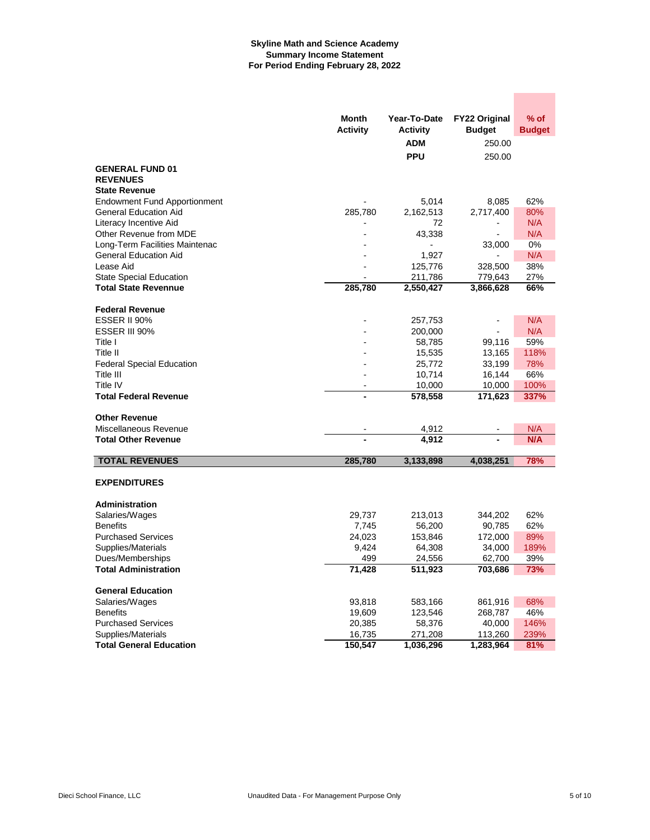## **Skyline Math and Science Academy Summary Income Statement For Period Ending February 28, 2022**

|                                              | Month<br><b>Activity</b> | Year-To-Date<br><b>Activity</b><br><b>ADM</b> | <b>FY22 Original</b><br><b>Budget</b><br>250.00 | $%$ of<br><b>Budget</b> |
|----------------------------------------------|--------------------------|-----------------------------------------------|-------------------------------------------------|-------------------------|
|                                              |                          | <b>PPU</b>                                    | 250.00                                          |                         |
| <b>GENERAL FUND 01</b>                       |                          |                                               |                                                 |                         |
| <b>REVENUES</b>                              |                          |                                               |                                                 |                         |
| <b>State Revenue</b>                         |                          |                                               |                                                 |                         |
| <b>Endowment Fund Apportionment</b>          |                          | 5,014                                         | 8,085                                           | 62%                     |
| <b>General Education Aid</b>                 | 285,780                  | 2,162,513                                     | 2,717,400                                       | 80%                     |
| Literacy Incentive Aid                       |                          | 72                                            | $\overline{a}$                                  | N/A                     |
| Other Revenue from MDE                       |                          | 43,338                                        |                                                 | N/A                     |
| Long-Term Facilities Maintenac               |                          |                                               | 33,000                                          | 0%                      |
| <b>General Education Aid</b>                 |                          | 1,927                                         |                                                 | N/A                     |
| Lease Aid                                    |                          | 125,776                                       | 328,500                                         | 38%                     |
| <b>State Special Education</b>               |                          | 211,786                                       | 779,643                                         | 27%                     |
| <b>Total State Revennue</b>                  | 285,780                  | 2,550,427                                     | 3,866,628                                       | 66%                     |
| <b>Federal Revenue</b>                       |                          |                                               |                                                 |                         |
| <b>ESSER II 90%</b>                          |                          | 257,753                                       |                                                 | N/A                     |
| ESSER III 90%                                |                          | 200,000                                       |                                                 | N/A                     |
| Title I                                      |                          | 58,785                                        | 99,116                                          | 59%                     |
| Title II                                     |                          | 15,535                                        | 13,165                                          | 118%                    |
| <b>Federal Special Education</b>             |                          | 25,772                                        | 33,199                                          | 78%                     |
| Title III                                    |                          | 10,714                                        | 16,144                                          | 66%                     |
| Title IV                                     |                          | 10,000                                        | 10,000                                          | 100%                    |
| <b>Total Federal Revenue</b>                 |                          | 578,558                                       | 171,623                                         | 337%                    |
|                                              |                          |                                               |                                                 |                         |
| <b>Other Revenue</b>                         |                          |                                               |                                                 |                         |
| Miscellaneous Revenue                        |                          | 4,912                                         |                                                 | N/A                     |
| <b>Total Other Revenue</b>                   |                          | 4,912                                         |                                                 | N/A                     |
| <b>TOTAL REVENUES</b>                        | 285,780                  | 3,133,898                                     | 4,038,251                                       | 78%                     |
|                                              |                          |                                               |                                                 |                         |
| <b>EXPENDITURES</b>                          |                          |                                               |                                                 |                         |
|                                              |                          |                                               |                                                 |                         |
| <b>Administration</b>                        |                          |                                               |                                                 |                         |
| Salaries/Wages                               | 29,737                   | 213,013                                       | 344,202                                         | 62%                     |
| <b>Benefits</b><br><b>Purchased Services</b> | 7,745                    | 56,200                                        | 90,785                                          | 62%<br>89%              |
| Supplies/Materials                           | 24,023<br>9,424          | 153,846<br>64,308                             | 172,000<br>34,000                               | 189%                    |
| Dues/Memberships                             | 499                      | 24,556                                        | 62,700                                          | 39%                     |
| <b>Total Administration</b>                  | 71,428                   | 511,923                                       | 703,686                                         | 73%                     |
|                                              |                          |                                               |                                                 |                         |
| <b>General Education</b>                     |                          |                                               |                                                 |                         |
| Salaries/Wages                               | 93,818                   | 583,166                                       | 861,916                                         | 68%                     |
| <b>Benefits</b>                              | 19,609                   | 123,546                                       | 268,787                                         | 46%                     |
| <b>Purchased Services</b>                    | 20,385                   | 58,376                                        | 40,000                                          | 146%                    |
| Supplies/Materials                           | 16,735                   | 271,208                                       | 113,260                                         | 239%                    |
| <b>Total General Education</b>               | 150,547                  | 1,036,296                                     | 1,283,964                                       | 81%                     |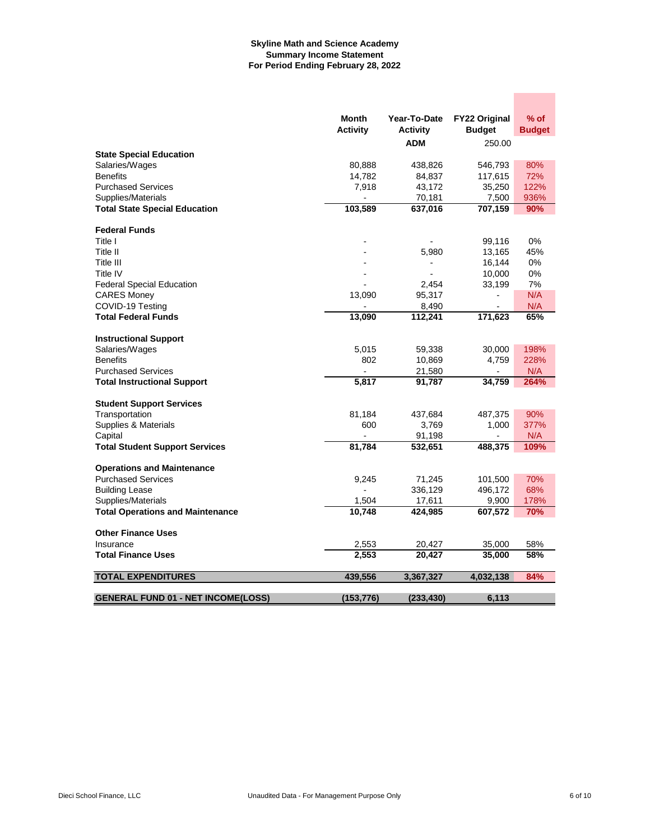## **Skyline Math and Science Academy Summary Income Statement For Period Ending February 28, 2022**

|                                           | Month           | Year-To-Date    | <b>FY22 Original</b> | $%$ of        |
|-------------------------------------------|-----------------|-----------------|----------------------|---------------|
|                                           | <b>Activity</b> | <b>Activity</b> | <b>Budget</b>        | <b>Budget</b> |
|                                           |                 | <b>ADM</b>      | 250.00               |               |
| <b>State Special Education</b>            |                 |                 |                      |               |
| Salaries/Wages                            | 80,888          | 438,826         | 546,793              | 80%           |
| <b>Benefits</b>                           | 14,782          | 84,837          | 117,615              | 72%           |
| <b>Purchased Services</b>                 | 7,918           | 43,172          | 35,250               | 122%          |
| Supplies/Materials                        |                 | 70,181          | 7,500                | 936%          |
| <b>Total State Special Education</b>      | 103,589         | 637,016         | 707,159              | 90%           |
| <b>Federal Funds</b>                      |                 |                 |                      |               |
| Title I                                   |                 |                 | 99,116               | 0%            |
| Title II                                  |                 | 5,980           | 13,165               | 45%           |
| Title III                                 |                 | $\blacksquare$  | 16,144               | 0%            |
| Title IV                                  |                 |                 | 10,000               | 0%            |
| <b>Federal Special Education</b>          |                 | 2,454           | 33,199               | 7%            |
| <b>CARES Money</b>                        | 13,090          | 95,317          |                      | N/A           |
| COVID-19 Testing                          |                 | 8,490           |                      | N/A           |
| <b>Total Federal Funds</b>                | 13,090          | 112,241         | 171,623              | 65%           |
|                                           |                 |                 |                      |               |
| <b>Instructional Support</b>              |                 |                 |                      |               |
| Salaries/Wages                            | 5.015           | 59,338          | 30,000               | 198%          |
| <b>Benefits</b>                           | 802             | 10,869          | 4,759                | 228%          |
| <b>Purchased Services</b>                 |                 | 21,580          | $\overline{a}$       | N/A           |
| <b>Total Instructional Support</b>        | 5,817           | 91,787          | 34,759               | 264%          |
| <b>Student Support Services</b>           |                 |                 |                      |               |
| Transportation                            | 81,184          | 437,684         | 487,375              | 90%           |
| Supplies & Materials                      | 600             | 3,769           | 1,000                | 377%          |
| Capital                                   |                 | 91,198          |                      | N/A           |
| <b>Total Student Support Services</b>     | 81,784          | 532,651         | 488,375              | 109%          |
|                                           |                 |                 |                      |               |
| <b>Operations and Maintenance</b>         |                 |                 |                      |               |
| <b>Purchased Services</b>                 | 9,245           | 71,245          | 101,500              | 70%           |
| <b>Building Lease</b>                     |                 | 336,129         | 496,172              | 68%           |
| Supplies/Materials                        | 1.504           | 17,611          | 9,900                | 178%          |
| <b>Total Operations and Maintenance</b>   | 10,748          | 424,985         | 607,572              | 70%           |
| <b>Other Finance Uses</b>                 |                 |                 |                      |               |
| Insurance                                 | 2,553           | 20,427          | 35,000               | 58%           |
| <b>Total Finance Uses</b>                 | 2,553           | 20,427          | 35,000               | 58%           |
| <b>TOTAL EXPENDITURES</b>                 | 439,556         | 3,367,327       | 4,032,138            | 84%           |
|                                           |                 |                 |                      |               |
| <b>GENERAL FUND 01 - NET INCOME(LOSS)</b> | (153, 776)      | (233, 430)      | 6.113                |               |

**Contract**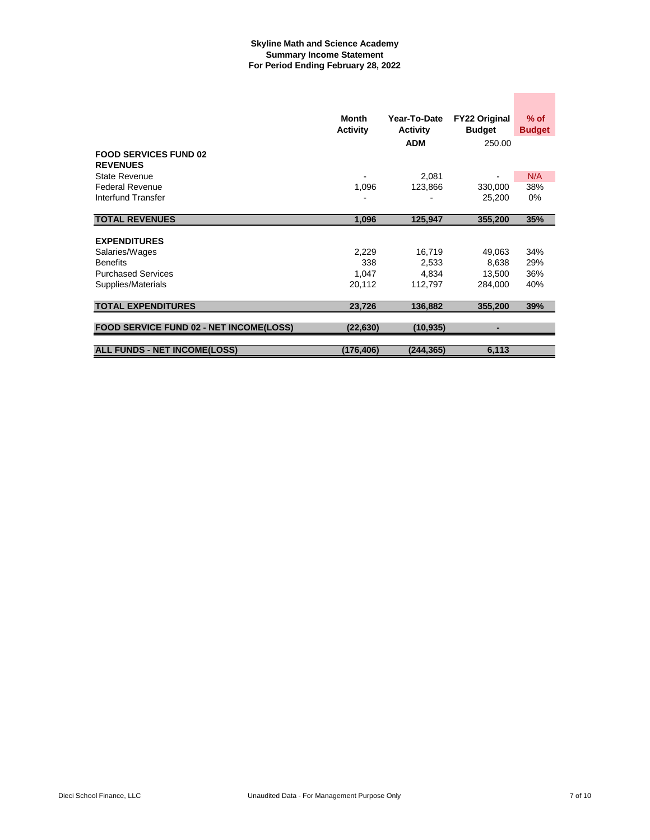## **Skyline Math and Science Academy Summary Income Statement For Period Ending February 28, 2022**

|                                                 | Month<br><b>Activity</b> | Year-To-Date<br><b>Activity</b> | <b>FY22 Original</b><br><b>Budget</b> | $%$ of<br><b>Budget</b> |
|-------------------------------------------------|--------------------------|---------------------------------|---------------------------------------|-------------------------|
|                                                 |                          | <b>ADM</b>                      | 250.00                                |                         |
| <b>FOOD SERVICES FUND 02</b><br><b>REVENUES</b> |                          |                                 |                                       |                         |
| State Revenue                                   |                          | 2,081                           |                                       | N/A                     |
| <b>Federal Revenue</b>                          | 1,096                    | 123,866                         | 330,000                               | 38%                     |
| Interfund Transfer                              |                          |                                 | 25,200                                | $0\%$                   |
|                                                 |                          |                                 |                                       |                         |
| <b>TOTAL REVENUES</b>                           | 1,096                    | 125,947                         | 355,200                               | 35%                     |
|                                                 |                          |                                 |                                       |                         |
| <b>EXPENDITURES</b>                             |                          |                                 |                                       |                         |
| Salaries/Wages                                  | 2,229                    | 16,719                          | 49,063                                | 34%                     |
| <b>Benefits</b>                                 | 338                      | 2,533                           | 8,638                                 | 29%                     |
| <b>Purchased Services</b>                       | 1.047                    | 4.834                           | 13,500                                | 36%                     |
| Supplies/Materials                              | 20,112                   | 112,797                         | 284,000                               | 40%                     |
|                                                 |                          |                                 |                                       |                         |
| <b>TOTAL EXPENDITURES</b>                       | 23,726                   | 136,882                         | 355,200                               | 39%                     |
|                                                 |                          |                                 |                                       |                         |
| <b>FOOD SERVICE FUND 02 - NET INCOME(LOSS)</b>  | (22,630)                 | (10, 935)                       |                                       |                         |
|                                                 |                          |                                 |                                       |                         |
| <b>ALL FUNDS - NET INCOME(LOSS)</b>             | (176,406)                | (244, 365)                      | 6,113                                 |                         |

**Contract Contract**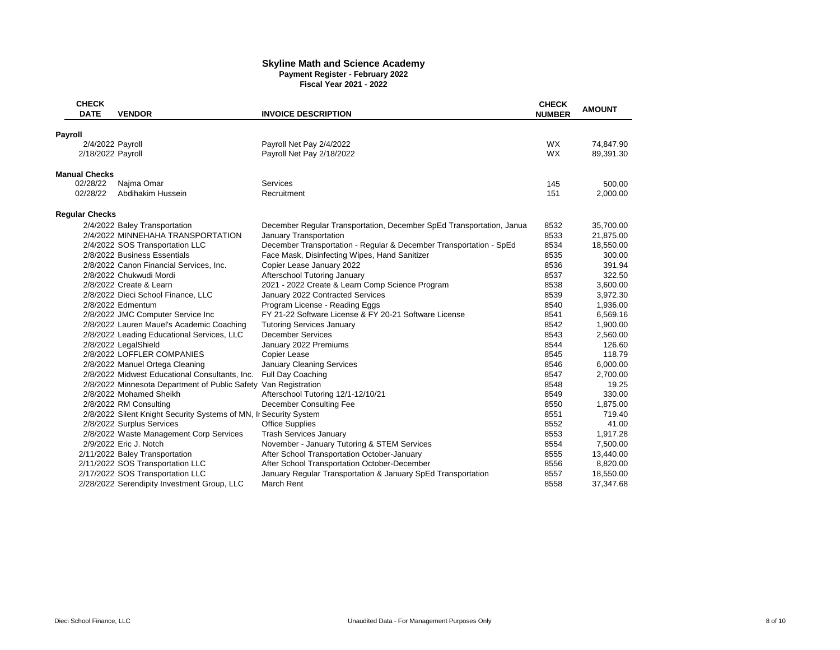#### **Skyline Math and Science Academy Payment Register - February 2022**

**Fiscal Year 2021 - 2022**

| <b>CHECK</b><br><b>DATE</b> | <b>VENDOR</b>                                                     | <b>INVOICE DESCRIPTION</b>                                           | <b>CHECK</b><br><b>NUMBER</b> | <b>AMOUNT</b> |
|-----------------------------|-------------------------------------------------------------------|----------------------------------------------------------------------|-------------------------------|---------------|
|                             |                                                                   |                                                                      |                               |               |
| Payroll<br>2/4/2022 Payroll |                                                                   | Payroll Net Pay 2/4/2022                                             | <b>WX</b>                     | 74,847.90     |
| 2/18/2022 Payroll           |                                                                   | Payroll Net Pay 2/18/2022                                            | WX                            | 89,391.30     |
|                             |                                                                   |                                                                      |                               |               |
| <b>Manual Checks</b>        |                                                                   |                                                                      |                               |               |
| 02/28/22                    | Najma Omar                                                        | Services                                                             | 145                           | 500.00        |
| 02/28/22                    | Abdihakim Hussein                                                 | Recruitment                                                          | 151                           | 2,000.00      |
| <b>Regular Checks</b>       |                                                                   |                                                                      |                               |               |
|                             | 2/4/2022 Baley Transportation                                     | December Regular Transportation, December SpEd Transportation, Janua | 8532                          | 35,700.00     |
|                             | 2/4/2022 MINNEHAHA TRANSPORTATION                                 | January Transportation                                               | 8533                          | 21,875.00     |
|                             | 2/4/2022 SOS Transportation LLC                                   | December Transportation - Regular & December Transportation - SpEd   | 8534                          | 18,550.00     |
|                             | 2/8/2022 Business Essentials                                      | Face Mask, Disinfecting Wipes, Hand Sanitizer                        | 8535                          | 300.00        |
|                             | 2/8/2022 Canon Financial Services, Inc.                           | Copier Lease January 2022                                            | 8536                          | 391.94        |
|                             | 2/8/2022 Chukwudi Mordi                                           | Afterschool Tutoring January                                         | 8537                          | 322.50        |
|                             | 2/8/2022 Create & Learn                                           | 2021 - 2022 Create & Learn Comp Science Program                      | 8538                          | 3,600.00      |
|                             | 2/8/2022 Dieci School Finance, LLC                                | January 2022 Contracted Services                                     | 8539                          | 3,972.30      |
|                             | 2/8/2022 Edmentum                                                 | Program License - Reading Eggs                                       | 8540                          | 1,936.00      |
|                             | 2/8/2022 JMC Computer Service Inc                                 | FY 21-22 Software License & FY 20-21 Software License                | 8541                          | 6,569.16      |
|                             | 2/8/2022 Lauren Mauel's Academic Coaching                         | <b>Tutoring Services January</b>                                     | 8542                          | 1,900.00      |
|                             | 2/8/2022 Leading Educational Services, LLC                        | <b>December Services</b>                                             | 8543                          | 2,560.00      |
|                             | 2/8/2022 LegalShield                                              | January 2022 Premiums                                                | 8544                          | 126.60        |
|                             | 2/8/2022 LOFFLER COMPANIES                                        | Copier Lease                                                         | 8545                          | 118.79        |
|                             | 2/8/2022 Manuel Ortega Cleaning                                   | January Cleaning Services                                            | 8546                          | 6,000.00      |
|                             | 2/8/2022 Midwest Educational Consultants, Inc.                    | Full Day Coaching                                                    | 8547                          | 2,700.00      |
|                             | 2/8/2022 Minnesota Department of Public Safety Van Registration   |                                                                      | 8548                          | 19.25         |
|                             | 2/8/2022 Mohamed Sheikh                                           | Afterschool Tutoring 12/1-12/10/21                                   | 8549                          | 330.00        |
|                             | 2/8/2022 RM Consulting                                            | December Consulting Fee                                              | 8550                          | 1,875.00      |
|                             | 2/8/2022 Silent Knight Security Systems of MN, In Security System |                                                                      | 8551                          | 719.40        |
|                             | 2/8/2022 Surplus Services                                         | <b>Office Supplies</b>                                               | 8552                          | 41.00         |
|                             | 2/8/2022 Waste Management Corp Services                           | <b>Trash Services January</b>                                        | 8553                          | 1,917.28      |
|                             | 2/9/2022 Eric J. Notch                                            | November - January Tutoring & STEM Services                          | 8554                          | 7,500.00      |
|                             | 2/11/2022 Baley Transportation                                    | After School Transportation October-January                          | 8555                          | 13,440.00     |
|                             | 2/11/2022 SOS Transportation LLC                                  | After School Transportation October-December                         | 8556                          | 8,820.00      |
|                             | 2/17/2022 SOS Transportation LLC                                  | January Regular Transportation & January SpEd Transportation         | 8557                          | 18,550.00     |
|                             | 2/28/2022 Serendipity Investment Group, LLC                       | March Rent                                                           | 8558                          | 37,347.68     |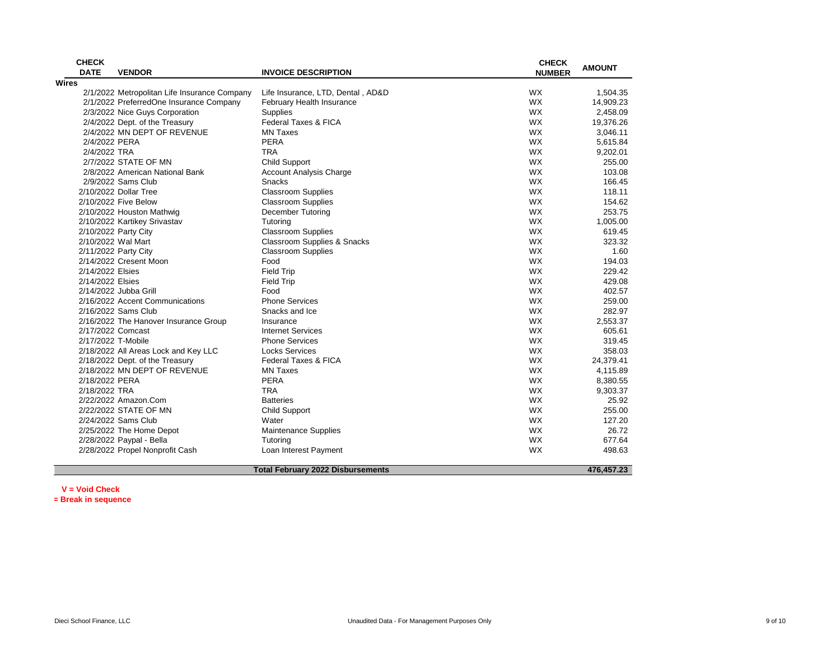| <b>CHECK</b><br><b>DATE</b> | <b>VENDOR</b>                                | <b>INVOICE DESCRIPTION</b>               | <b>CHECK</b><br><b>NUMBER</b> | <b>AMOUNT</b> |
|-----------------------------|----------------------------------------------|------------------------------------------|-------------------------------|---------------|
| Wires                       |                                              |                                          |                               |               |
|                             | 2/1/2022 Metropolitan Life Insurance Company | Life Insurance, LTD, Dental, AD&D        | <b>WX</b>                     | 1,504.35      |
|                             | 2/1/2022 PreferredOne Insurance Company      | February Health Insurance                | <b>WX</b>                     | 14,909.23     |
|                             | 2/3/2022 Nice Guys Corporation               | <b>Supplies</b>                          | <b>WX</b>                     | 2,458.09      |
|                             | 2/4/2022 Dept. of the Treasury               | Federal Taxes & FICA                     | <b>WX</b>                     | 19,376.26     |
|                             | 2/4/2022 MN DEPT OF REVENUE                  | <b>MN Taxes</b>                          | <b>WX</b>                     | 3,046.11      |
| 2/4/2022 PERA               |                                              | PERA                                     | <b>WX</b>                     | 5,615.84      |
| 2/4/2022 TRA                |                                              | <b>TRA</b>                               | <b>WX</b>                     | 9,202.01      |
|                             | 2/7/2022 STATE OF MN                         | <b>Child Support</b>                     | <b>WX</b>                     | 255.00        |
|                             | 2/8/2022 American National Bank              | Account Analysis Charge                  | <b>WX</b>                     | 103.08        |
|                             | 2/9/2022 Sams Club                           | Snacks                                   | <b>WX</b>                     | 166.45        |
|                             | 2/10/2022 Dollar Tree                        | <b>Classroom Supplies</b>                | <b>WX</b>                     | 118.11        |
|                             | 2/10/2022 Five Below                         | <b>Classroom Supplies</b>                | <b>WX</b>                     | 154.62        |
|                             | 2/10/2022 Houston Mathwig                    | <b>December Tutoring</b>                 | <b>WX</b>                     | 253.75        |
|                             | 2/10/2022 Kartikey Srivastav                 | Tutoring                                 | <b>WX</b>                     | 1,005.00      |
|                             | 2/10/2022 Party City                         | <b>Classroom Supplies</b>                | <b>WX</b>                     | 619.45        |
|                             | 2/10/2022 Wal Mart                           | Classroom Supplies & Snacks              | <b>WX</b>                     | 323.32        |
|                             | 2/11/2022 Party City                         | <b>Classroom Supplies</b>                | <b>WX</b>                     | 1.60          |
|                             | 2/14/2022 Cresent Moon                       | Food                                     | <b>WX</b>                     | 194.03        |
| 2/14/2022 Elsies            |                                              | <b>Field Trip</b>                        | <b>WX</b>                     | 229.42        |
| 2/14/2022 Elsies            |                                              | <b>Field Trip</b>                        | <b>WX</b>                     | 429.08        |
|                             | 2/14/2022 Jubba Grill                        | Food                                     | <b>WX</b>                     | 402.57        |
|                             | 2/16/2022 Accent Communications              | <b>Phone Services</b>                    | <b>WX</b>                     | 259.00        |
|                             | 2/16/2022 Sams Club                          | Snacks and Ice                           | <b>WX</b>                     | 282.97        |
|                             | 2/16/2022 The Hanover Insurance Group        | Insurance                                | <b>WX</b>                     | 2.553.37      |
|                             | 2/17/2022 Comcast                            | <b>Internet Services</b>                 | WX                            | 605.61        |
|                             | 2/17/2022 T-Mobile                           | <b>Phone Services</b>                    | <b>WX</b>                     | 319.45        |
|                             | 2/18/2022 All Areas Lock and Key LLC         | <b>Locks Services</b>                    | <b>WX</b>                     | 358.03        |
|                             | 2/18/2022 Dept. of the Treasury              | Federal Taxes & FICA                     | <b>WX</b>                     | 24,379.41     |
|                             | 2/18/2022 MN DEPT OF REVENUE                 | <b>MN Taxes</b>                          | <b>WX</b>                     | 4,115.89      |
| 2/18/2022 PERA              |                                              | PERA                                     | <b>WX</b>                     | 8,380.55      |
| 2/18/2022 TRA               |                                              | <b>TRA</b>                               | <b>WX</b>                     | 9,303.37      |
|                             | 2/22/2022 Amazon.Com                         | <b>Batteries</b>                         | <b>WX</b>                     | 25.92         |
|                             | 2/22/2022 STATE OF MN                        | Child Support                            | <b>WX</b>                     | 255.00        |
|                             | 2/24/2022 Sams Club                          | Water                                    | <b>WX</b>                     | 127.20        |
|                             | 2/25/2022 The Home Depot                     | <b>Maintenance Supplies</b>              | <b>WX</b>                     | 26.72         |
|                             | 2/28/2022 Paypal - Bella                     | Tutoring                                 | <b>WX</b>                     | 677.64        |
|                             | 2/28/2022 Propel Nonprofit Cash              | Loan Interest Payment                    | <b>WX</b>                     | 498.63        |
|                             |                                              |                                          |                               |               |
|                             |                                              | <b>Total February 2022 Disbursements</b> |                               | 476.457.23    |

**V = Void Check \*= Break in sequence**